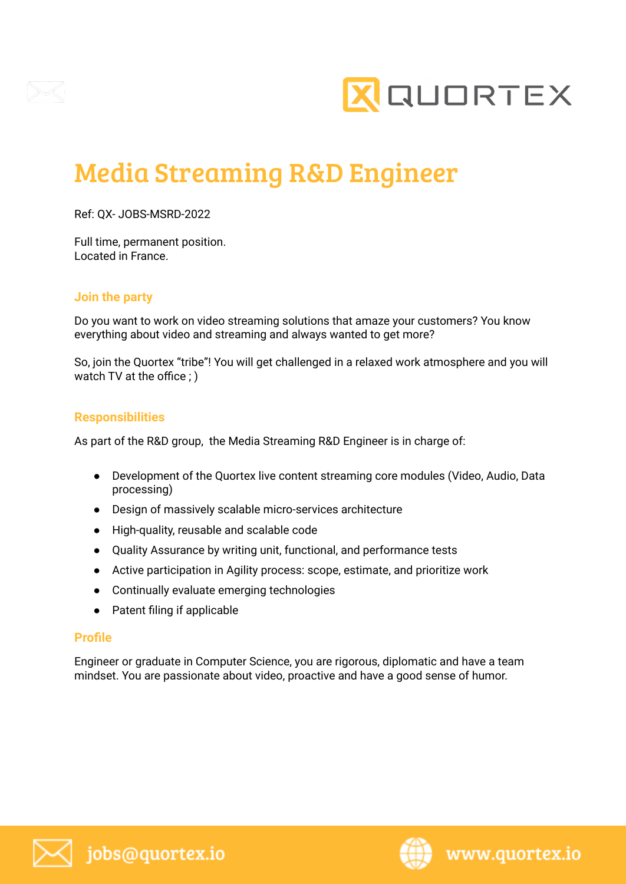



# Media Streaming R&D Engineer

Ref: QX- JOBS-MSRD-2022

Full time, permanent position. Located in France.

## **Join the party**

Do you want to work on video streaming solutions that amaze your customers? You know everything about video and streaming and always wanted to get more?

So, join the Quortex "tribe"! You will get challenged in a relaxed work atmosphere and you will watch TV at the office ; )

## **Responsibilities**

As part of the R&D group, the Media Streaming R&D Engineer is in charge of:

- Development of the Quortex live content streaming core modules (Video, Audio, Data processing)
- Design of massively scalable micro-services architecture
- High-quality, reusable and scalable code
- Quality Assurance by writing unit, functional, and performance tests
- Active participation in Agility process: scope, estimate, and prioritize work
- Continually evaluate emerging technologies
- Patent filing if applicable

#### **Profile**

Engineer or graduate in Computer Science, you are rigorous, diplomatic and have a team mindset. You are passionate about video, proactive and have a good sense of humor.